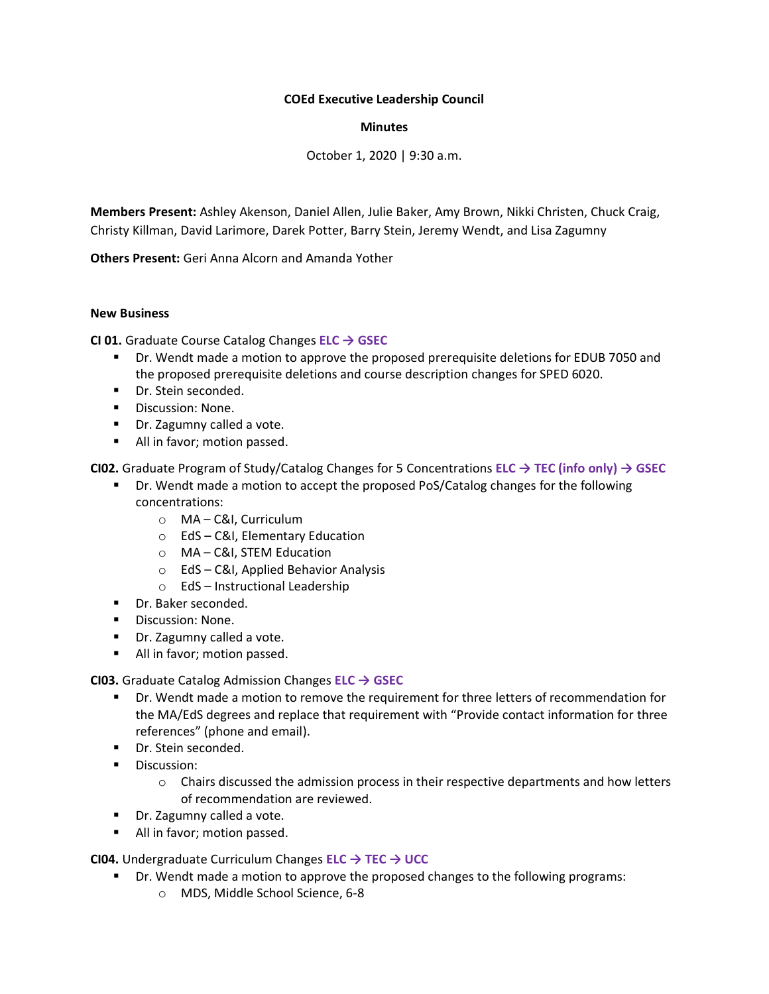# **COEd Executive Leadership Council**

#### **Minutes**

October 1, 2020 | 9:30 a.m.

**Members Present:** Ashley Akenson, Daniel Allen, Julie Baker, Amy Brown, Nikki Christen, Chuck Craig, Christy Killman, David Larimore, Darek Potter, Barry Stein, Jeremy Wendt, and Lisa Zagumny

**Others Present:** Geri Anna Alcorn and Amanda Yother

#### **New Business**

**CI 01.** Graduate Course Catalog Changes **ELC → GSEC**

- Dr. Wendt made a motion to approve the proposed prerequisite deletions for EDUB 7050 and the proposed prerequisite deletions and course description changes for SPED 6020.
- Dr. Stein seconded.
- Discussion: None.
- Dr. Zagumny called a vote.
- All in favor; motion passed.

**CI02.** Graduate Program of Study/Catalog Changes for 5 Concentrations **ELC → TEC (info only) → GSEC**

- **•** Dr. Wendt made a motion to accept the proposed PoS/Catalog changes for the following concentrations:
	- o MA C&I, Curriculum
	- o EdS C&I, Elementary Education
	- o MA C&I, STEM Education
	- o EdS C&I, Applied Behavior Analysis
	- o EdS Instructional Leadership
- Dr. Baker seconded.
- Discussion: None.
- Dr. Zagumny called a vote.
- All in favor; motion passed.

**CI03.** Graduate Catalog Admission Changes **ELC → GSEC**

- **■** Dr. Wendt made a motion to remove the requirement for three letters of recommendation for the MA/EdS degrees and replace that requirement with "Provide contact information for three references" (phone and email).
- Dr. Stein seconded.
- **■** Discussion:
	- $\circ$  Chairs discussed the admission process in their respective departments and how letters of recommendation are reviewed.
- Dr. Zagumny called a vote.
- All in favor; motion passed.

**CI04.** Undergraduate Curriculum Changes **ELC → TEC → UCC**

- Dr. Wendt made a motion to approve the proposed changes to the following programs:
	- o MDS, Middle School Science, 6-8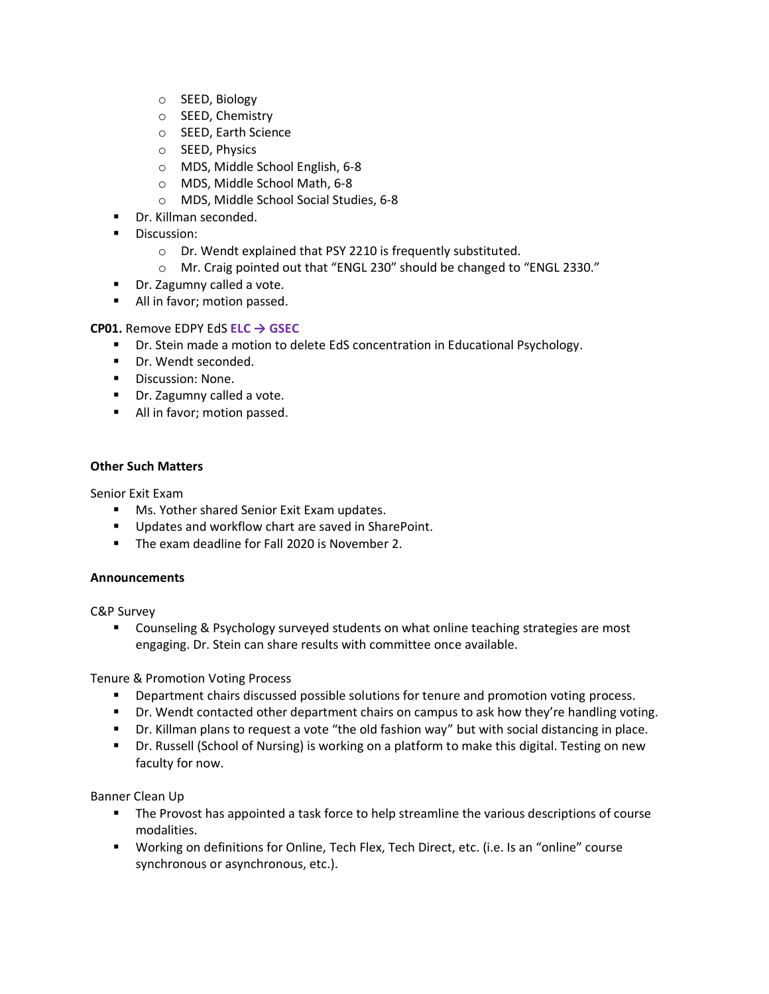- o SEED, Biology
- o SEED, Chemistry
- o SEED, Earth Science
- o SEED, Physics
- o MDS, Middle School English, 6-8
- o MDS, Middle School Math, 6-8
- o MDS, Middle School Social Studies, 6-8
- Dr. Killman seconded.
- Discussion:
	- o Dr. Wendt explained that PSY 2210 is frequently substituted.
	- o Mr. Craig pointed out that "ENGL 230" should be changed to "ENGL 2330."
- Dr. Zagumny called a vote.
- All in favor; motion passed.

# **CP01.** Remove EDPY EdS **ELC → GSEC**

- Dr. Stein made a motion to delete EdS concentration in Educational Psychology.
- Dr. Wendt seconded.
- Discussion: None.
- Dr. Zagumny called a vote.
- All in favor; motion passed.

# **Other Such Matters**

Senior Exit Exam

- Ms. Yother shared Senior Exit Exam updates.
- Updates and workflow chart are saved in SharePoint.
- The exam deadline for Fall 2020 is November 2.

# **Announcements**

C&P Survey

■ Counseling & Psychology surveyed students on what online teaching strategies are most engaging. Dr. Stein can share results with committee once available.

Tenure & Promotion Voting Process

- **■** Department chairs discussed possible solutions for tenure and promotion voting process.
- Dr. Wendt contacted other department chairs on campus to ask how they're handling voting.
- Dr. Killman plans to request a vote "the old fashion way" but with social distancing in place.
- **•** Dr. Russell (School of Nursing) is working on a platform to make this digital. Testing on new faculty for now.

Banner Clean Up

- **•** The Provost has appointed a task force to help streamline the various descriptions of course modalities.
- Working on definitions for Online, Tech Flex, Tech Direct, etc. (i.e. Is an "online" course synchronous or asynchronous, etc.).